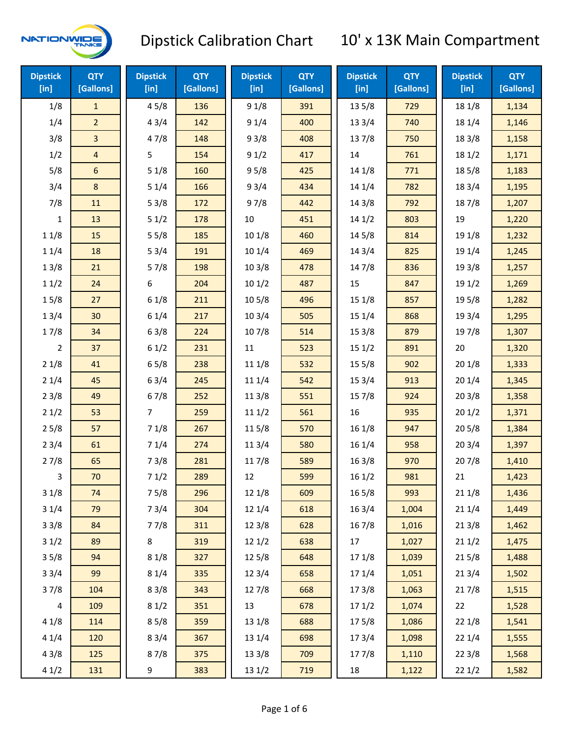

| <b>Dipstick</b><br>[in] | <b>QTY</b><br>[Gallons] | <b>Dipstick</b><br>$[$ in] | <b>QTY</b><br>[Gallons] | <b>Dipstick</b><br>[in] | <b>QTY</b><br>[Gallons] | <b>Dipstick</b><br>[in] | <b>QTY</b><br>[Gallons] | <b>Dipstick</b><br>[in] | <b>QTY</b><br>[Gallons] |
|-------------------------|-------------------------|----------------------------|-------------------------|-------------------------|-------------------------|-------------------------|-------------------------|-------------------------|-------------------------|
| 1/8                     | $\mathbf{1}$            | 45/8                       | 136                     | 91/8                    | 391                     | 13 5/8                  | 729                     | 18 1/8                  | 1,134                   |
| 1/4                     | $\overline{2}$          | 43/4                       | 142                     | 91/4                    | 400                     | 133/4                   | 740                     | 18 1/4                  | 1,146                   |
| 3/8                     | $\overline{3}$          | 47/8                       | 148                     | 93/8                    | 408                     | 137/8                   | 750                     | 18 3/8                  | 1,158                   |
| 1/2                     | $\overline{4}$          | 5                          | 154                     | 91/2                    | 417                     | 14                      | 761                     | 18 1/2                  | 1,171                   |
| 5/8                     | 6                       | 51/8                       | 160                     | 95/8                    | 425                     | 14 1/8                  | 771                     | 185/8                   | 1,183                   |
| 3/4                     | 8                       | 51/4                       | 166                     | 93/4                    | 434                     | 14 1/4                  | 782                     | 18 3/4                  | 1,195                   |
| 7/8                     | 11                      | 53/8                       | 172                     | 97/8                    | 442                     | 14 3/8                  | 792                     | 187/8                   | 1,207                   |
| 1                       | 13                      | 51/2                       | 178                     | $10\,$                  | 451                     | 141/2                   | 803                     | 19                      | 1,220                   |
| 11/8                    | 15                      | 55/8                       | 185                     | 101/8                   | 460                     | 145/8                   | 814                     | 19 1/8                  | 1,232                   |
| 11/4                    | 18                      | 53/4                       | 191                     | 101/4                   | 469                     | 14 3/4                  | 825                     | 19 1/4                  | 1,245                   |
| 13/8                    | 21                      | 57/8                       | 198                     | 103/8                   | 478                     | 147/8                   | 836                     | 19 3/8                  | 1,257                   |
| 11/2                    | 24                      | 6                          | 204                     | 101/2                   | 487                     | 15                      | 847                     | 19 1/2                  | 1,269                   |
| 15/8                    | 27                      | 61/8                       | 211                     | 10 <sub>5</sub> /8      | 496                     | 151/8                   | 857                     | 195/8                   | 1,282                   |
| 13/4                    | 30                      | 61/4                       | 217                     | 103/4                   | 505                     | 151/4                   | 868                     | 19 3/4                  | 1,295                   |
| 17/8                    | 34                      | 63/8                       | 224                     | 107/8                   | 514                     | 153/8                   | 879                     | 197/8                   | 1,307                   |
| 2                       | 37                      | 61/2                       | 231                     | 11                      | 523                     | 151/2                   | 891                     | 20                      | 1,320                   |
| 21/8                    | 41                      | 65/8                       | 238                     | 11 1/8                  | 532                     | 15 5/8                  | 902                     | 201/8                   | 1,333                   |
| 21/4                    | 45                      | 63/4                       | 245                     | 11 1/4                  | 542                     | 153/4                   | 913                     | 201/4                   | 1,345                   |
| 23/8                    | 49                      | 67/8                       | 252                     | 11 3/8                  | 551                     | 15 7/8                  | 924                     | 203/8                   | 1,358                   |
| 21/2                    | 53                      | $\overline{7}$             | 259                     | 111/2                   | 561                     | 16                      | 935                     | 201/2                   | 1,371                   |
| 25/8                    | 57                      | 71/8                       | 267                     | 115/8                   | 570                     | 16 1/8                  | 947                     | 205/8                   | 1,384                   |
| 23/4                    | 61                      | 71/4                       | 274                     | 11 3/4                  | 580                     | 161/4                   | 958                     | 203/4                   | 1,397                   |
| 27/8                    | 65                      | 73/8                       | 281                     | 11 7/8                  | 589                     | 163/8                   | 970                     | 207/8                   | 1,410                   |
| 3                       | 70                      | 71/2                       | 289                     | 12                      | 599                     | 161/2                   | 981                     | 21                      | 1,423                   |
| 31/8                    | 74                      | 75/8                       | 296                     | 12 1/8                  | 609                     | 16 5/8                  | 993                     | 211/8                   | 1,436                   |
| 31/4                    | 79                      | 73/4                       | 304                     | 12 1/4                  | 618                     | 16 3/4                  | 1,004                   | 211/4                   | 1,449                   |
| 33/8                    | 84                      | 77/8                       | 311                     | 12 3/8                  | 628                     | 16 7/8                  | 1,016                   | 213/8                   | 1,462                   |
| 31/2                    | 89                      | 8                          | 319                     | 121/2                   | 638                     | 17                      | 1,027                   | 211/2                   | 1,475                   |
| 35/8                    | 94                      | 81/8                       | 327                     | 125/8                   | 648                     | 17 1/8                  | 1,039                   | 215/8                   | 1,488                   |
| 33/4                    | 99                      | 81/4                       | 335                     | 123/4                   | 658                     | 17 1/4                  | 1,051                   | 213/4                   | 1,502                   |
| 37/8                    | 104                     | 83/8                       | 343                     | 127/8                   | 668                     | 173/8                   | 1,063                   | 217/8                   | 1,515                   |
| $\overline{\mathbf{4}}$ | 109                     | 81/2                       | 351                     | 13                      | 678                     | 171/2                   | 1,074                   | 22                      | 1,528                   |
| 41/8                    | 114                     | 85/8                       | 359                     | 13 1/8                  | 688                     | 175/8                   | 1,086                   | 22 1/8                  | 1,541                   |
| 41/4                    | 120                     | 83/4                       | 367                     | 13 1/4                  | 698                     | 17 3/4                  | 1,098                   | 221/4                   | 1,555                   |
| 43/8                    | 125                     | 87/8                       | 375                     | 13 3/8                  | 709                     | 177/8                   | 1,110                   | 223/8                   | 1,568                   |
| 41/2                    | 131                     | 9                          | 383                     | 13 1/2                  | 719                     | 18                      | 1,122                   | 221/2                   | 1,582                   |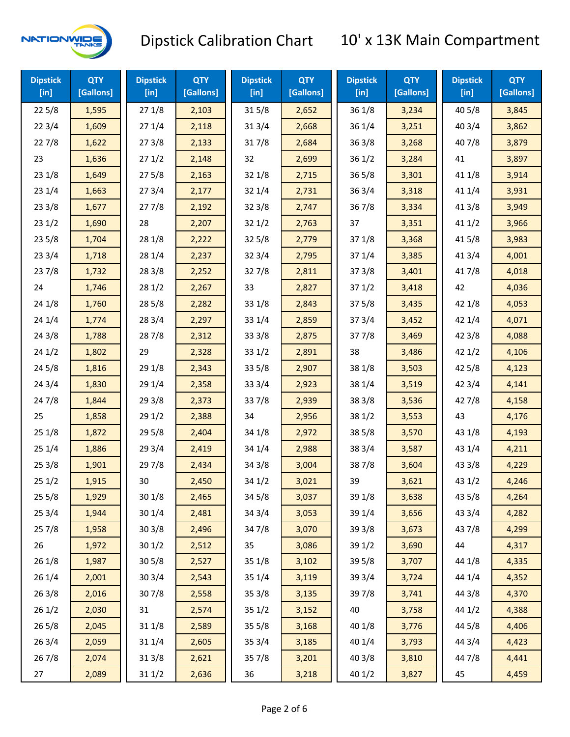

| <b>Dipstick</b><br>$[$ in] | <b>QTY</b><br>[Gallons] | <b>Dipstick</b><br>$[$ in] | <b>QTY</b><br>[Gallons] | <b>Dipstick</b><br>$[$ in] | <b>QTY</b><br>[Gallons] | <b>Dipstick</b><br>$[$ in] | <b>QTY</b><br>[Gallons] | <b>Dipstick</b><br>$[$ in] | <b>QTY</b><br>[Gallons] |
|----------------------------|-------------------------|----------------------------|-------------------------|----------------------------|-------------------------|----------------------------|-------------------------|----------------------------|-------------------------|
| 225/8                      | 1,595                   | 271/8                      | 2,103                   | 315/8                      | 2,652                   | 36 1/8                     | 3,234                   | 40 5/8                     | 3,845                   |
| 223/4                      | 1,609                   | 271/4                      | 2,118                   | 31 3/4                     | 2,668                   | 36 1/4                     | 3,251                   | 403/4                      | 3,862                   |
| 227/8                      | 1,622                   | 273/8                      | 2,133                   | 317/8                      | 2,684                   | 363/8                      | 3,268                   | 407/8                      | 3,879                   |
| 23                         | 1,636                   | 271/2                      | 2,148                   | 32                         | 2,699                   | 361/2                      | 3,284                   | 41                         | 3,897                   |
| 231/8                      | 1,649                   | 275/8                      | 2,163                   | 32 1/8                     | 2,715                   | $36\,5/8$                  | 3,301                   | 41 1/8                     | 3,914                   |
| 231/4                      | 1,663                   | 273/4                      | 2,177                   | 32 1/4                     | 2,731                   | 363/4                      | 3,318                   | 41 1/4                     | 3,931                   |
| 233/8                      | 1,677                   | 277/8                      | 2,192                   | 32 3/8                     | 2,747                   | 36 7/8                     | 3,334                   | 41 3/8                     | 3,949                   |
| 231/2                      | 1,690                   | 28                         | 2,207                   | 321/2                      | 2,763                   | 37                         | 3,351                   | 411/2                      | 3,966                   |
| 235/8                      | 1,704                   | 28 1/8                     | 2,222                   | 325/8                      | 2,779                   | 371/8                      | 3,368                   | 41 5/8                     | 3,983                   |
| 233/4                      | 1,718                   | 28 1/4                     | 2,237                   | 32 3/4                     | 2,795                   | 37 1/4                     | 3,385                   | 41 3/4                     | 4,001                   |
| 237/8                      | 1,732                   | 28 3/8                     | 2,252                   | 327/8                      | 2,811                   | 373/8                      | 3,401                   | 417/8                      | 4,018                   |
| 24                         | 1,746                   | 281/2                      | 2,267                   | 33                         | 2,827                   | 371/2                      | 3,418                   | 42                         | 4,036                   |
| 24 1/8                     | 1,760                   | 28 5/8                     | 2,282                   | 33 1/8                     | 2,843                   | 375/8                      | 3,435                   | 42 1/8                     | 4,053                   |
| 241/4                      | 1,774                   | 28 3/4                     | 2,297                   | 33 1/4                     | 2,859                   | 373/4                      | 3,452                   | 42 1/4                     | 4,071                   |
| 243/8                      | 1,788                   | 287/8                      | 2,312                   | 33 3/8                     | 2,875                   | 377/8                      | 3,469                   | 42 3/8                     | 4,088                   |
| 241/2                      | 1,802                   | 29                         | 2,328                   | 33 1/2                     | 2,891                   | 38                         | 3,486                   | 421/2                      | 4,106                   |
| 245/8                      | 1,816                   | 29 1/8                     | 2,343                   | 33 5/8                     | 2,907                   | 38 1/8                     | 3,503                   | 42 5/8                     | 4,123                   |
| 243/4                      | 1,830                   | 29 1/4                     | 2,358                   | 33 3/4                     | 2,923                   | 38 1/4                     | 3,519                   | 42 3/4                     | 4,141                   |
| 24 7/8                     | 1,844                   | 29 3/8                     | 2,373                   | 337/8                      | 2,939                   | 38 3/8                     | 3,536                   | 427/8                      | 4,158                   |
| 25                         | 1,858                   | 29 1/2                     | 2,388                   | 34                         | 2,956                   | 38 1/2                     | 3,553                   | 43                         | 4,176                   |
| 251/8                      | 1,872                   | 29 5/8                     | 2,404                   | 34 1/8                     | 2,972                   | 385/8                      | 3,570                   | 43 1/8                     | 4,193                   |
| 251/4                      | 1,886                   | 29 3/4                     | 2,419                   | 34 1/4                     | 2,988                   | 38 3/4                     | 3,587                   | 43 1/4                     | 4,211                   |
| 253/8                      | 1,901                   | 297/8                      | 2,434                   | 34 3/8                     | 3,004                   | 387/8                      | 3,604                   | 43 3/8                     | 4,229                   |
| 251/2                      | 1,915                   | 30                         | 2,450                   | 34 1/2                     | 3,021                   | 39                         | 3,621                   | 43 1/2                     | 4,246                   |
| 255/8                      | 1,929                   | 301/8                      | 2,465                   | 34 5/8                     | 3,037                   | 39 1/8                     | 3,638                   | 43 5/8                     | 4,264                   |
| 253/4                      | 1,944                   | 30 1/4                     | 2,481                   | 34 3/4                     | 3,053                   | 39 1/4                     | 3,656                   | 43 3/4                     | 4,282                   |
| 257/8                      | 1,958                   | 303/8                      | 2,496                   | 347/8                      | 3,070                   | 39 3/8                     | 3,673                   | 437/8                      | 4,299                   |
| 26                         | 1,972                   | 301/2                      | 2,512                   | 35                         | 3,086                   | 39 1/2                     | 3,690                   | 44                         | 4,317                   |
| 261/8                      | 1,987                   | 305/8                      | 2,527                   | 35 1/8                     | 3,102                   | 39 5/8                     | 3,707                   | 44 1/8                     | 4,335                   |
| 261/4                      | 2,001                   | 30 3/4                     | 2,543                   | 35 1/4                     | 3,119                   | 39 3/4                     | 3,724                   | 44 1/4                     | 4,352                   |
| 263/8                      | 2,016                   | 307/8                      | 2,558                   | 35 3/8                     | 3,135                   | 397/8                      | 3,741                   | 44 3/8                     | 4,370                   |
| 261/2                      | 2,030                   | 31                         | 2,574                   | 35 1/2                     | 3,152                   | 40                         | 3,758                   | 44 1/2                     | 4,388                   |
| 265/8                      | 2,045                   | 31 1/8                     | 2,589                   | 35 5/8                     | 3,168                   | 40 1/8                     | 3,776                   | 44 5/8                     | 4,406                   |
| 263/4                      | 2,059                   | 31 1/4                     | 2,605                   | 35 3/4                     | 3,185                   | 40 1/4                     | 3,793                   | 44 3/4                     | 4,423                   |
| 267/8                      | 2,074                   | 31 3/8                     | 2,621                   | 357/8                      | 3,201                   | 40 3/8                     | 3,810                   | 447/8                      | 4,441                   |
| 27                         | 2,089                   | 31 1/2                     | 2,636                   | 36                         | 3,218                   | 40 1/2                     | 3,827                   | 45                         | 4,459                   |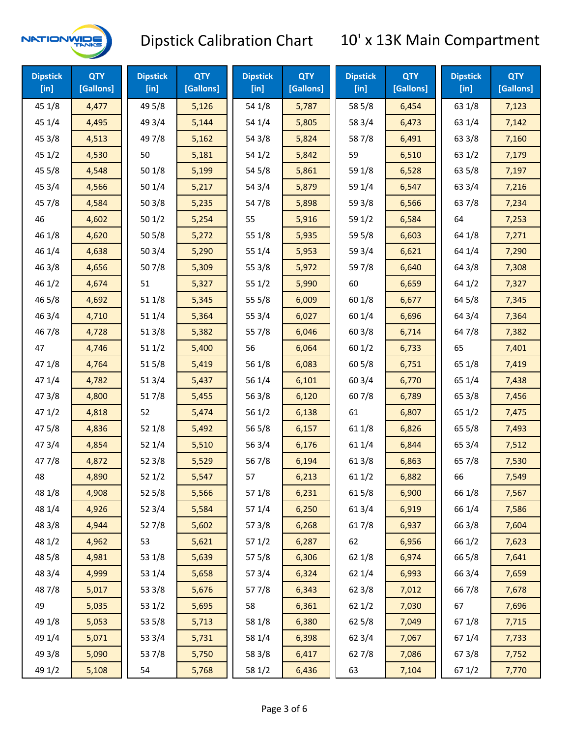

| <b>Dipstick</b><br>[in] | <b>QTY</b><br>[Gallons] | <b>Dipstick</b><br>$[$ in] | <b>QTY</b><br>[Gallons] | <b>Dipstick</b><br>$[$ in] | <b>QTY</b><br>[Gallons] | <b>Dipstick</b><br>$[$ in] | <b>QTY</b><br>[Gallons] | <b>Dipstick</b><br>$[$ in] | <b>QTY</b><br>[Gallons] |
|-------------------------|-------------------------|----------------------------|-------------------------|----------------------------|-------------------------|----------------------------|-------------------------|----------------------------|-------------------------|
| 45 1/8                  | 4,477                   | 49 5/8                     | 5,126                   | 54 1/8                     | 5,787                   | 58 5/8                     | 6,454                   | 63 1/8                     | 7,123                   |
| 45 1/4                  | 4,495                   | 49 3/4                     | 5,144                   | 54 1/4                     | 5,805                   | 58 3/4                     | 6,473                   | 63 1/4                     | 7,142                   |
| 45 3/8                  | 4,513                   | 49 7/8                     | 5,162                   | 54 3/8                     | 5,824                   | 587/8                      | 6,491                   | 63 3/8                     | 7,160                   |
| 451/2                   | 4,530                   | 50                         | 5,181                   | 54 1/2                     | 5,842                   | 59                         | 6,510                   | 63 1/2                     | 7,179                   |
| 45 5/8                  | 4,548                   | 50 1/8                     | 5,199                   | 54 5/8                     | 5,861                   | 59 1/8                     | 6,528                   | 63 5/8                     | 7,197                   |
| 45 3/4                  | 4,566                   | 501/4                      | 5,217                   | 54 3/4                     | 5,879                   | 59 1/4                     | 6,547                   | 63 3/4                     | 7,216                   |
| 45 7/8                  | 4,584                   | 503/8                      | 5,235                   | 54 7/8                     | 5,898                   | 59 3/8                     | 6,566                   | 637/8                      | 7,234                   |
| 46                      | 4,602                   | 501/2                      | 5,254                   | 55                         | 5,916                   | 59 1/2                     | 6,584                   | 64                         | 7,253                   |
| 46 1/8                  | 4,620                   | 50 5/8                     | 5,272                   | 55 1/8                     | 5,935                   | 59 5/8                     | 6,603                   | 64 1/8                     | 7,271                   |
| 46 1/4                  | 4,638                   | 503/4                      | 5,290                   | 55 1/4                     | 5,953                   | 59 3/4                     | 6,621                   | 64 1/4                     | 7,290                   |
| 46 3/8                  | 4,656                   | 507/8                      | 5,309                   | 55 3/8                     | 5,972                   | 59 7/8                     | 6,640                   | 64 3/8                     | 7,308                   |
| 46 1/2                  | 4,674                   | 51                         | 5,327                   | 551/2                      | 5,990                   | 60                         | 6,659                   | 64 1/2                     | 7,327                   |
| 46 5/8                  | 4,692                   | 51 1/8                     | 5,345                   | 55 5/8                     | 6,009                   | 60 1/8                     | 6,677                   | 64 5/8                     | 7,345                   |
| 46 3/4                  | 4,710                   | 51 1/4                     | 5,364                   | 55 3/4                     | 6,027                   | 60 1/4                     | 6,696                   | 64 3/4                     | 7,364                   |
| 46 7/8                  | 4,728                   | 51 3/8                     | 5,382                   | 55 7/8                     | 6,046                   | 60 3/8                     | 6,714                   | 64 7/8                     | 7,382                   |
| 47                      | 4,746                   | 511/2                      | 5,400                   | 56                         | 6,064                   | 60 1/2                     | 6,733                   | 65                         | 7,401                   |
| 47 1/8                  | 4,764                   | 515/8                      | 5,419                   | 56 1/8                     | 6,083                   | 60 5/8                     | 6,751                   | 65 1/8                     | 7,419                   |
| 47 1/4                  | 4,782                   | 51 3/4                     | 5,437                   | 56 1/4                     | 6,101                   | 603/4                      | 6,770                   | 65 1/4                     | 7,438                   |
| 47 3/8                  | 4,800                   | 517/8                      | 5,455                   | 56 3/8                     | 6,120                   | 60 7/8                     | 6,789                   | 65 3/8                     | 7,456                   |
| 471/2                   | 4,818                   | 52                         | 5,474                   | 56 1/2                     | 6,138                   | 61                         | 6,807                   | 65 1/2                     | 7,475                   |
| 475/8                   | 4,836                   | 52 1/8                     | 5,492                   | 56 5/8                     | 6,157                   | 61 1/8                     | 6,826                   | 65 5/8                     | 7,493                   |
| 47 3/4                  | 4,854                   | 52 1/4                     | 5,510                   | 56 3/4                     | 6,176                   | 61 1/4                     | 6,844                   | 65 3/4                     | 7,512                   |
| 477/8                   | 4,872                   | 52 3/8                     | 5,529                   | 567/8                      | 6,194                   | 61 3/8                     | 6,863                   | 65 7/8                     | 7,530                   |
| 48                      | 4,890                   | 521/2                      | 5,547                   | 57                         | 6,213                   | 611/2                      | 6,882                   | 66                         | 7,549                   |
| 48 1/8                  | 4,908                   | 525/8                      | 5,566                   | 57 1/8                     | 6,231                   | 615/8                      | 6,900                   | 66 1/8                     | 7,567                   |
| 48 1/4                  | 4,926                   | 52 3/4                     | 5,584                   | 57 1/4                     | 6,250                   | 613/4                      | 6,919                   | 66 1/4                     | 7,586                   |
| 48 3/8                  | 4,944                   | 527/8                      | 5,602                   | 57 3/8                     | 6,268                   | 617/8                      | 6,937                   | 66 3/8                     | 7,604                   |
| 48 1/2                  | 4,962                   | 53                         | 5,621                   | 571/2                      | 6,287                   | 62                         | 6,956                   | 66 1/2                     | 7,623                   |
| 48 5/8                  | 4,981                   | 53 1/8                     | 5,639                   | 57 5/8                     | 6,306                   | 62 1/8                     | 6,974                   | 66 5/8                     | 7,641                   |
| 48 3/4                  | 4,999                   | 53 1/4                     | 5,658                   | 573/4                      | 6,324                   | 621/4                      | 6,993                   | 66 3/4                     | 7,659                   |
| 487/8                   | 5,017                   | 53 3/8                     | 5,676                   | 577/8                      | 6,343                   | 62 3/8                     | 7,012                   | 667/8                      | 7,678                   |
| 49                      | 5,035                   | 53 1/2                     | 5,695                   | 58                         | 6,361                   | 62 1/2                     | 7,030                   | 67                         | 7,696                   |
| 49 1/8                  | 5,053                   | 53 5/8                     | 5,713                   | 58 1/8                     | 6,380                   | 62 5/8                     | 7,049                   | 671/8                      | 7,715                   |
| 49 1/4                  | 5,071                   | 53 3/4                     | 5,731                   | 58 1/4                     | 6,398                   | 62 3/4                     | 7,067                   | 671/4                      | 7,733                   |
| 49 3/8                  | 5,090                   | 537/8                      | 5,750                   | 58 3/8                     | 6,417                   | 627/8                      | 7,086                   | 673/8                      | 7,752                   |
| 49 1/2                  | 5,108                   | 54                         | 5,768                   | 58 1/2                     | 6,436                   | 63                         | 7,104                   | 67 1/2                     | 7,770                   |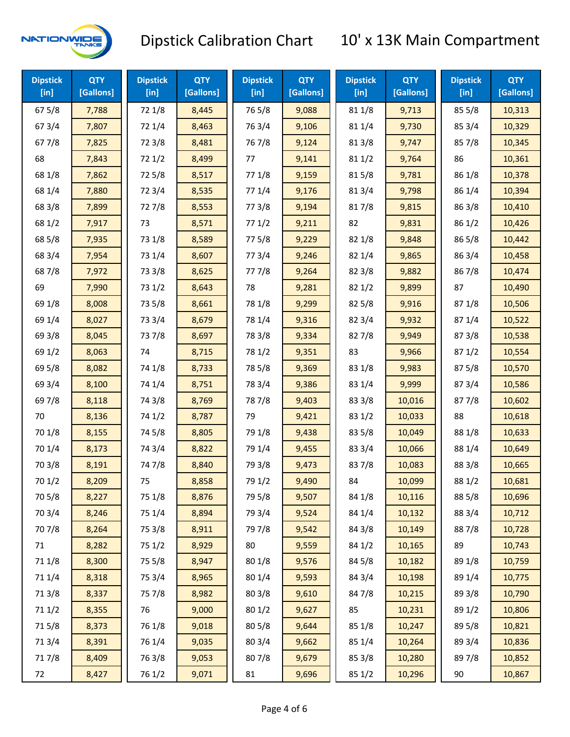

| <b>Dipstick</b><br>$[$ in] | <b>QTY</b><br>[Gallons] | <b>Dipstick</b><br>$[$ in] | <b>QTY</b><br>[Gallons] | <b>Dipstick</b><br>$[$ in] | <b>QTY</b><br>[Gallons] | <b>Dipstick</b><br>$[$ in] | <b>QTY</b><br>[Gallons] | <b>Dipstick</b><br>[in] | <b>QTY</b><br>[Gallons] |
|----------------------------|-------------------------|----------------------------|-------------------------|----------------------------|-------------------------|----------------------------|-------------------------|-------------------------|-------------------------|
| 675/8                      | 7,788                   | 72 1/8                     | 8,445                   | 765/8                      | 9,088                   | 81 1/8                     | 9,713                   | 85 5/8                  | 10,313                  |
| 67 3/4                     | 7,807                   | 72 1/4                     | 8,463                   | 763/4                      | 9,106                   | 81 1/4                     | 9,730                   | 85 3/4                  | 10,329                  |
| 677/8                      | 7,825                   | 72 3/8                     | 8,481                   | 76 7/8                     | 9,124                   | 81 3/8                     | 9,747                   | 857/8                   | 10,345                  |
| 68                         | 7,843                   | 72 1/2                     | 8,499                   | 77                         | 9,141                   | 811/2                      | 9,764                   | 86                      | 10,361                  |
| 68 1/8                     | 7,862                   | 725/8                      | 8,517                   | 77 1/8                     | 9,159                   | 815/8                      | 9,781                   | 86 1/8                  | 10,378                  |
| 68 1/4                     | 7,880                   | 72 3/4                     | 8,535                   | 77 1/4                     | 9,176                   | 813/4                      | 9,798                   | 86 1/4                  | 10,394                  |
| 68 3/8                     | 7,899                   | 727/8                      | 8,553                   | 77 3/8                     | 9,194                   | 817/8                      | 9,815                   | 86 3/8                  | 10,410                  |
| 68 1/2                     | 7,917                   | 73                         | 8,571                   | 771/2                      | 9,211                   | 82                         | 9,831                   | 86 1/2                  | 10,426                  |
| 68 5/8                     | 7,935                   | 73 1/8                     | 8,589                   | 775/8                      | 9,229                   | 82 1/8                     | 9,848                   | 86 5/8                  | 10,442                  |
| 68 3/4                     | 7,954                   | 73 1/4                     | 8,607                   | 773/4                      | 9,246                   | 82 1/4                     | 9,865                   | 86 3/4                  | 10,458                  |
| 687/8                      | 7,972                   | 73 3/8                     | 8,625                   | 777/8                      | 9,264                   | 82 3/8                     | 9,882                   | 867/8                   | 10,474                  |
| 69                         | 7,990                   | 73 1/2                     | 8,643                   | 78                         | 9,281                   | 82 1/2                     | 9,899                   | 87                      | 10,490                  |
| 69 1/8                     | 8,008                   | 73 5/8                     | 8,661                   | 78 1/8                     | 9,299                   | 82 5/8                     | 9,916                   | 871/8                   | 10,506                  |
| 69 1/4                     | 8,027                   | 73 3/4                     | 8,679                   | 78 1/4                     | 9,316                   | 82 3/4                     | 9,932                   | 871/4                   | 10,522                  |
| 69 3/8                     | 8,045                   | 737/8                      | 8,697                   | 78 3/8                     | 9,334                   | 827/8                      | 9,949                   | 87 3/8                  | 10,538                  |
| 69 1/2                     | 8,063                   | 74                         | 8,715                   | 78 1/2                     | 9,351                   | 83                         | 9,966                   | 871/2                   | 10,554                  |
| 69 5/8                     | 8,082                   | 74 1/8                     | 8,733                   | 78 5/8                     | 9,369                   | 83 1/8                     | 9,983                   | 875/8                   | 10,570                  |
| 69 3/4                     | 8,100                   | 74 1/4                     | 8,751                   | 78 3/4                     | 9,386                   | 83 1/4                     | 9,999                   | 87 3/4                  | 10,586                  |
| 697/8                      | 8,118                   | 74 3/8                     | 8,769                   | 787/8                      | 9,403                   | 83 3/8                     | 10,016                  | 877/8                   | 10,602                  |
| 70                         | 8,136                   | 74 1/2                     | 8,787                   | 79                         | 9,421                   | 83 1/2                     | 10,033                  | 88                      | 10,618                  |
| 70 1/8                     | 8,155                   | 74 5/8                     | 8,805                   | 79 1/8                     | 9,438                   | 83 5/8                     | 10,049                  | 88 1/8                  | 10,633                  |
| 70 1/4                     | 8,173                   | 74 3/4                     | 8,822                   | 79 1/4                     | 9,455                   | 83 3/4                     | 10,066                  | 88 1/4                  | 10,649                  |
| 70 3/8                     | 8,191                   | 74 7/8                     | 8,840                   | 79 3/8                     | 9,473                   | 837/8                      | 10,083                  | 88 3/8                  | 10,665                  |
| 70 1/2                     | 8,209                   | 75                         | 8,858                   | 79 1/2                     | 9,490                   | 84                         | 10,099                  | 88 1/2                  | 10,681                  |
| 70 5/8                     | 8,227                   | 75 1/8                     | 8,876                   | 79 5/8                     | 9,507                   | 84 1/8                     | 10,116                  | 88 5/8                  | 10,696                  |
| 70 3/4                     | 8,246                   | 75 1/4                     | 8,894                   | 79 3/4                     | 9,524                   | 84 1/4                     | 10,132                  | 88 3/4                  | 10,712                  |
| 70 7/8                     | 8,264                   | 75 3/8                     | 8,911                   | 79 7/8                     | 9,542                   | 84 3/8                     | 10,149                  | 887/8                   | 10,728                  |
| 71                         | 8,282                   | 75 1/2                     | 8,929                   | 80                         | 9,559                   | 84 1/2                     | 10,165                  | 89                      | 10,743                  |
| 71 1/8                     | 8,300                   | 75 5/8                     | 8,947                   | 80 1/8                     | 9,576                   | 84 5/8                     | 10,182                  | 89 1/8                  | 10,759                  |
| 71 1/4                     | 8,318                   | 75 3/4                     | 8,965                   | 80 1/4                     | 9,593                   | 84 3/4                     | 10,198                  | 89 1/4                  | 10,775                  |
| 713/8                      | 8,337                   | 75 7/8                     | 8,982                   | 80 3/8                     | 9,610                   | 847/8                      | 10,215                  | 89 3/8                  | 10,790                  |
| 71 1/2                     | 8,355                   | 76                         | 9,000                   | 80 1/2                     | 9,627                   | 85                         | 10,231                  | 89 1/2                  | 10,806                  |
| 715/8                      | 8,373                   | 76 1/8                     | 9,018                   | 80 5/8                     | 9,644                   | 85 1/8                     | 10,247                  | 89 5/8                  | 10,821                  |
| 713/4                      | 8,391                   | 76 1/4                     | 9,035                   | 80 3/4                     | 9,662                   | 85 1/4                     | 10,264                  | 89 3/4                  | 10,836                  |
| 717/8                      | 8,409                   | 763/8                      | 9,053                   | 807/8                      | 9,679                   | 85 3/8                     | 10,280                  | 897/8                   | 10,852                  |
| 72                         | 8,427                   | 76 1/2                     | 9,071                   | 81                         | 9,696                   | 85 1/2                     | 10,296                  | 90                      | 10,867                  |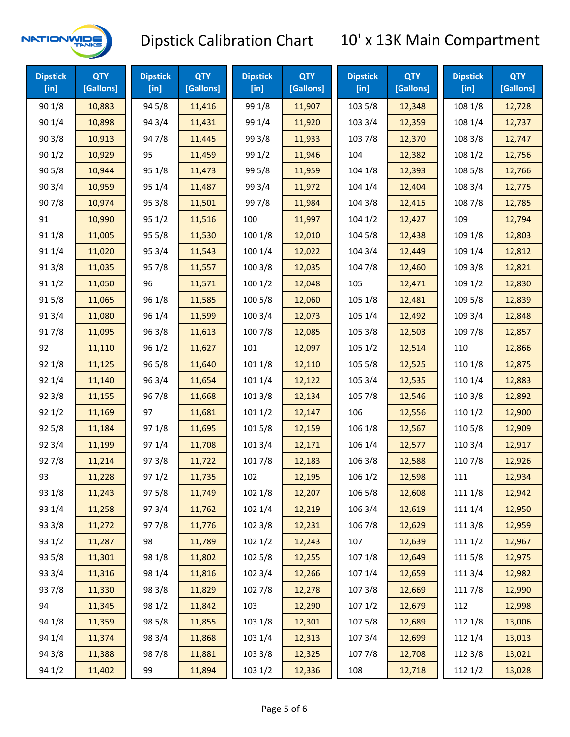

| <b>Dipstick</b><br>[in] | <b>QTY</b><br>[Gallons] | <b>Dipstick</b><br>[in] | <b>QTY</b><br>[Gallons] | <b>Dipstick</b><br>[in] | <b>QTY</b><br>[Gallons] | <b>Dipstick</b><br>[in] | <b>QTY</b><br>[Gallons] | <b>Dipstick</b><br>[in] | <b>QTY</b><br>[Gallons] |
|-------------------------|-------------------------|-------------------------|-------------------------|-------------------------|-------------------------|-------------------------|-------------------------|-------------------------|-------------------------|
| 90 1/8                  | 10,883                  | 94 5/8                  | 11,416                  | 99 1/8                  | 11,907                  | 103 5/8                 | 12,348                  | 108 1/8                 | 12,728                  |
| 90 1/4                  | 10,898                  | 94 3/4                  | 11,431                  | 99 1/4                  | 11,920                  | 103 3/4                 | 12,359                  | 108 1/4                 | 12,737                  |
| 903/8                   | 10,913                  | 947/8                   | 11,445                  | 99 3/8                  | 11,933                  | 103 7/8                 | 12,370                  | 108 3/8                 | 12,747                  |
| 901/2                   | 10,929                  | 95                      | 11,459                  | 99 1/2                  | 11,946                  | 104                     | 12,382                  | 108 1/2                 | 12,756                  |
| 905/8                   | 10,944                  | 95 1/8                  | 11,473                  | 99 5/8                  | 11,959                  | 104 1/8                 | 12,393                  | 108 5/8                 | 12,766                  |
| 90 3/4                  | 10,959                  | 95 1/4                  | 11,487                  | 99 3/4                  | 11,972                  | 104 1/4                 | 12,404                  | 108 3/4                 | 12,775                  |
| 907/8                   | 10,974                  | 95 3/8                  | 11,501                  | 997/8                   | 11,984                  | 104 3/8                 | 12,415                  | 108 7/8                 | 12,785                  |
| 91                      | 10,990                  | 95 1/2                  | 11,516                  | 100                     | 11,997                  | 1041/2                  | 12,427                  | 109                     | 12,794                  |
| 91 1/8                  | 11,005                  | 95 5/8                  | 11,530                  | 100 1/8                 | 12,010                  | 104 5/8                 | 12,438                  | 109 1/8                 | 12,803                  |
| 91 1/4                  | 11,020                  | 95 3/4                  | 11,543                  | 100 1/4                 | 12,022                  | 104 3/4                 | 12,449                  | 109 1/4                 | 12,812                  |
| 913/8                   | 11,035                  | 957/8                   | 11,557                  | 100 3/8                 | 12,035                  | 104 7/8                 | 12,460                  | 109 3/8                 | 12,821                  |
| 91 1/2                  | 11,050                  | 96                      | 11,571                  | 1001/2                  | 12,048                  | 105                     | 12,471                  | 109 1/2                 | 12,830                  |
| 915/8                   | 11,065                  | 96 1/8                  | 11,585                  | 100 5/8                 | 12,060                  | 105 1/8                 | 12,481                  | 109 5/8                 | 12,839                  |
| 91 3/4                  | 11,080                  | 96 1/4                  | 11,599                  | 1003/4                  | 12,073                  | 105 1/4                 | 12,492                  | 109 3/4                 | 12,848                  |
| 917/8                   | 11,095                  | 963/8                   | 11,613                  | 100 7/8                 | 12,085                  | 105 3/8                 | 12,503                  | 109 7/8                 | 12,857                  |
| 92                      | 11,110                  | 96 1/2                  | 11,627                  | 101                     | 12,097                  | 105 1/2                 | 12,514                  | 110                     | 12,866                  |
| 92 1/8                  | 11,125                  | 96 5/8                  | 11,640                  | 101 1/8                 | 12,110                  | 105 5/8                 | 12,525                  | 110 1/8                 | 12,875                  |
| 92 1/4                  | 11,140                  | 96 3/4                  | 11,654                  | 101 1/4                 | 12,122                  | 105 3/4                 | 12,535                  | 110 1/4                 | 12,883                  |
| 92 3/8                  | 11,155                  | 967/8                   | 11,668                  | 101 3/8                 | 12,134                  | 105 7/8                 | 12,546                  | 110 3/8                 | 12,892                  |
| 92 1/2                  | 11,169                  | 97                      | 11,681                  | 1011/2                  | 12,147                  | 106                     | 12,556                  | 110 1/2                 | 12,900                  |
| 92 5/8                  | 11,184                  | 97 1/8                  | 11,695                  | 101 5/8                 | 12,159                  | 106 1/8                 | 12,567                  | 110 5/8                 | 12,909                  |
| 92 3/4                  | 11,199                  | 97 1/4                  | 11,708                  | 101 3/4                 | 12,171                  | 106 1/4                 | 12,577                  | 110 3/4                 | 12,917                  |
| 927/8                   | 11,214                  | 973/8                   | 11,722                  | 101 7/8                 | 12,183                  | 106 3/8                 | 12,588                  | 110 7/8                 | 12,926                  |
| 93                      | 11,228                  | 97 1/2                  | 11,735                  | 102                     | 12,195                  | 106 1/2                 | 12,598                  | 111                     | 12,934                  |
| 93 1/8                  | 11,243                  | 97 5/8                  | 11,749                  | 102 1/8                 | 12,207                  | 106 5/8                 | 12,608                  | 111 1/8                 | 12,942                  |
| 93 1/4                  | 11,258                  | 973/4                   | 11,762                  | 102 1/4                 | 12,219                  | 106 3/4                 | 12,619                  | 111 1/4                 | 12,950                  |
| 93 3/8                  | 11,272                  | 977/8                   | 11,776                  | 102 3/8                 | 12,231                  | 106 7/8                 | 12,629                  | 111 3/8                 | 12,959                  |
| 93 1/2                  | 11,287                  | 98                      | 11,789                  | 1021/2                  | 12,243                  | 107                     | 12,639                  | 111 1/2                 | 12,967                  |
| 93 5/8                  | 11,301                  | 98 1/8                  | 11,802                  | 102 5/8                 | 12,255                  | 107 1/8                 | 12,649                  | 1115/8                  | 12,975                  |
| 93 3/4                  | 11,316                  | 98 1/4                  | 11,816                  | 102 3/4                 | 12,266                  | 107 1/4                 | 12,659                  | 111 3/4                 | 12,982                  |
| 937/8                   | 11,330                  | 98 3/8                  | 11,829                  | 102 7/8                 | 12,278                  | 1073/8                  | 12,669                  | 111 7/8                 | 12,990                  |
| 94                      | 11,345                  | 98 1/2                  | 11,842                  | 103                     | 12,290                  | 1071/2                  | 12,679                  | 112                     | 12,998                  |
| 94 1/8                  | 11,359                  | 98 5/8                  | 11,855                  | 103 1/8                 | 12,301                  | 107 5/8                 | 12,689                  | 112 1/8                 | 13,006                  |
| 94 1/4                  | 11,374                  | 98 3/4                  | 11,868                  | 103 1/4                 | 12,313                  | 107 3/4                 | 12,699                  | 112 1/4                 | 13,013                  |
| 94 3/8                  | 11,388                  | 987/8                   | 11,881                  | 103 3/8                 | 12,325                  | 1077/8                  | 12,708                  | 112 3/8                 | 13,021                  |
| 94 1/2                  | 11,402                  | 99                      | 11,894                  | 103 1/2                 | 12,336                  | 108                     | 12,718                  | 112 1/2                 | 13,028                  |